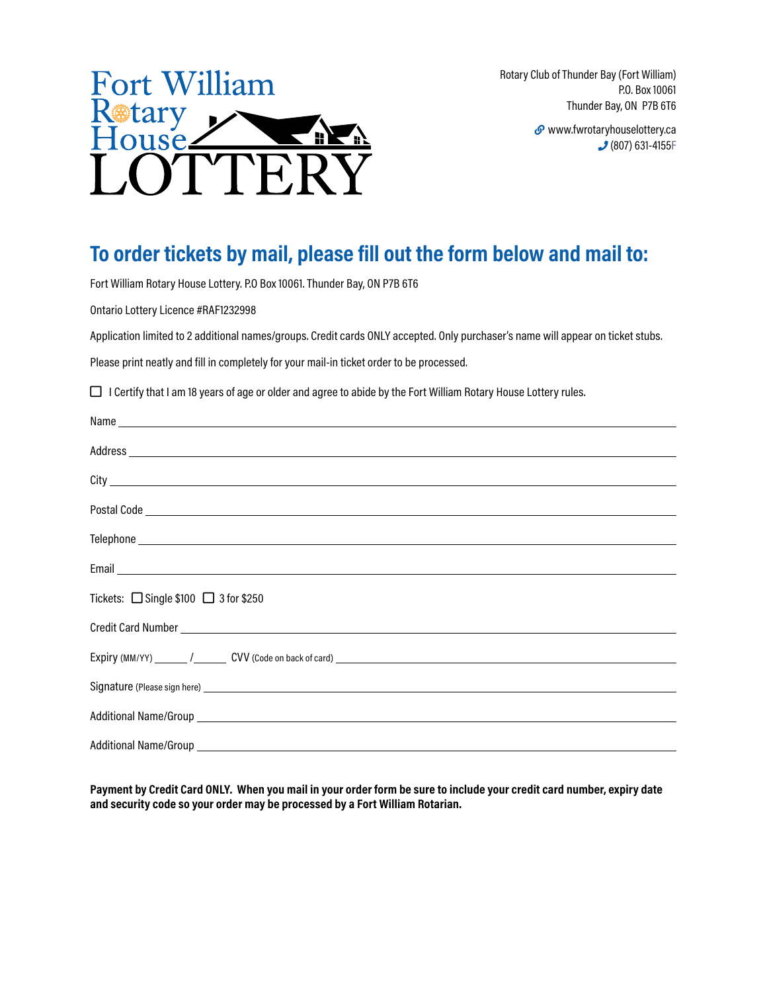

Rotary Club of Thunder Bay (Fort William) P.O. Box 10061 Thunder Bay, ON P7B 6T6

> www.fwrotaryhouselottery.ca (807) 631-4155F

## **To order tickets by mail, please fill out the form below and mail to:**

Fort William Rotary House Lottery. P.O Box 10061. Thunder Bay, ON P7B 6T6

Ontario Lottery Licence #RAF1232998

Application limited to 2 additional names/groups. Credit cards ONLY accepted. Only purchaser's name will appear on ticket stubs.

Please print neatly and fill in completely for your mail-in ticket order to be processed.

□ I Certify that I am 18 years of age or older and agree to abide by the Fort William Rotary House Lottery rules.

| Email <u>Communication of the communication</u> of the communication of the communication of the communication of the communication of the communication of the communication of the communication of the communication of the comm |
|-------------------------------------------------------------------------------------------------------------------------------------------------------------------------------------------------------------------------------------|
| Tickets: $\Box$ Single \$100 $\Box$ 3 for \$250                                                                                                                                                                                     |
|                                                                                                                                                                                                                                     |
|                                                                                                                                                                                                                                     |
|                                                                                                                                                                                                                                     |
|                                                                                                                                                                                                                                     |
|                                                                                                                                                                                                                                     |
|                                                                                                                                                                                                                                     |

**Payment by Credit Card ONLY. When you mail in your order form be sure to include your credit card number, expiry date and security code so your order may be processed by a Fort William Rotarian.**